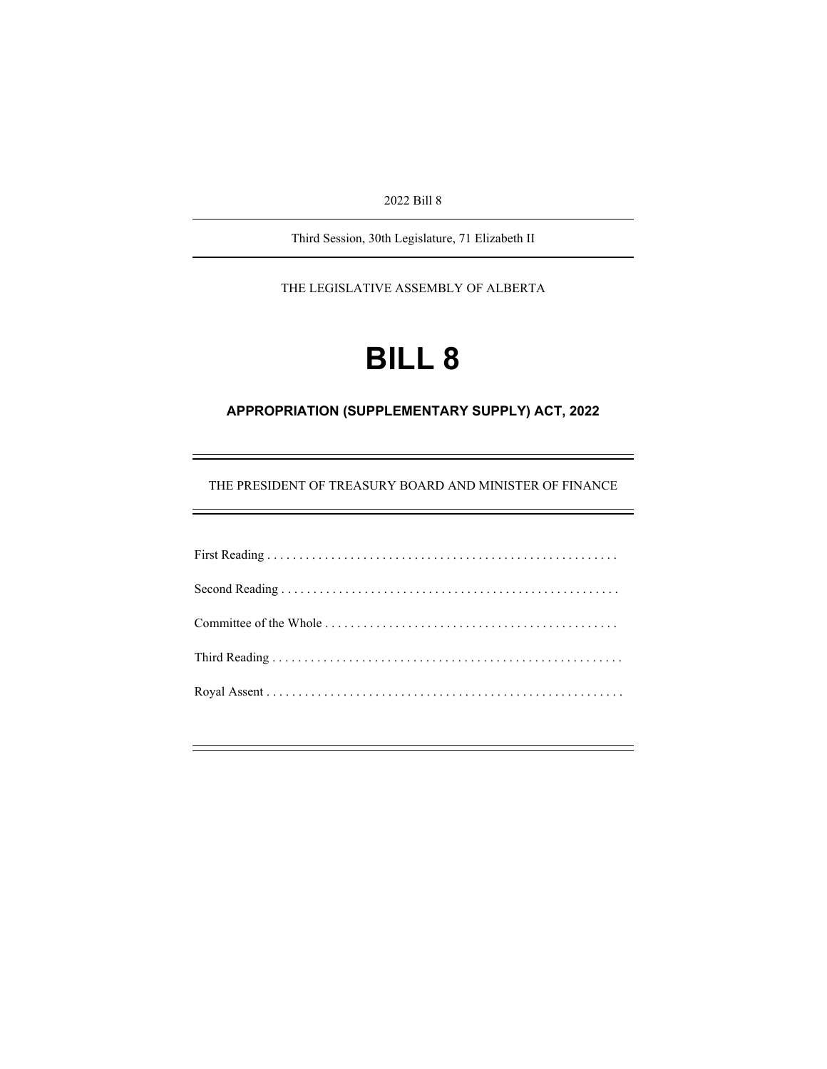2022 Bill 8

Third Session, 30th Legislature, 71 Elizabeth II

THE LEGISLATIVE ASSEMBLY OF ALBERTA

# **BILL 8**

# **APPROPRIATION (SUPPLEMENTARY SUPPLY) ACT, 2022**

THE PRESIDENT OF TREASURY BOARD AND MINISTER OF FINANCE

 $\equiv$ 

e<br>S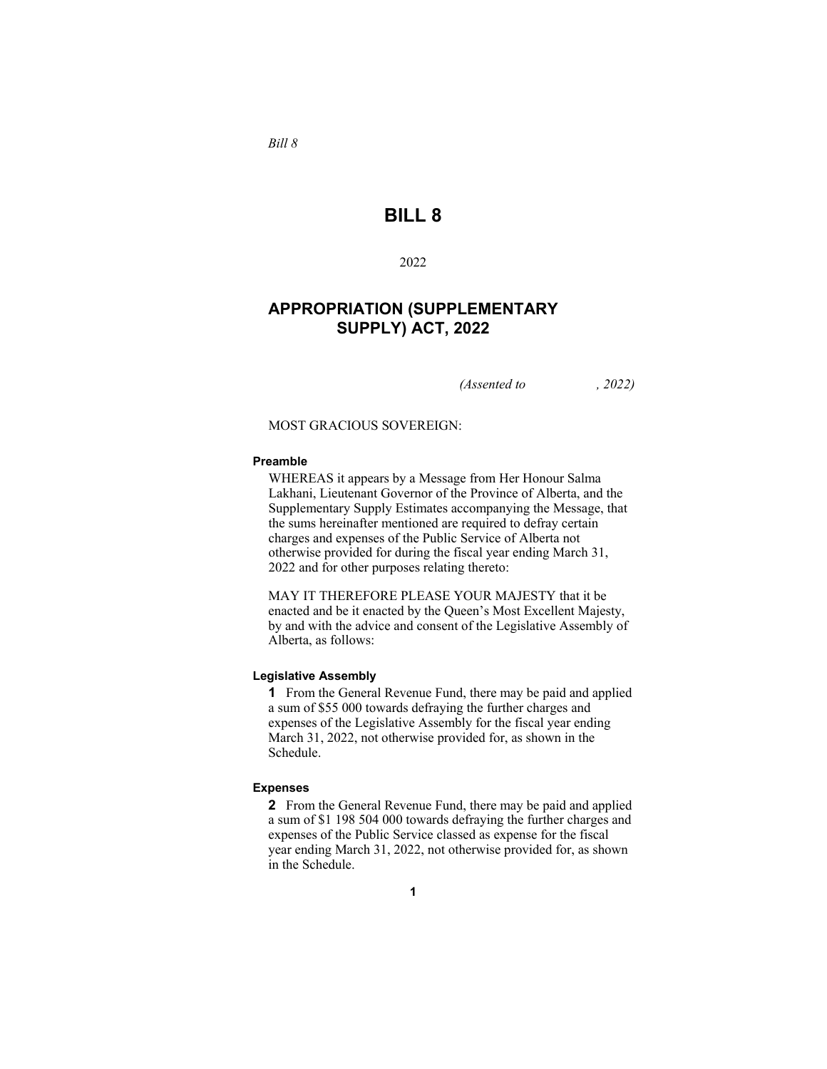*Bill 8* 

# **BILL 8**

2022

## **APPROPRIATION (SUPPLEMENTARY SUPPLY) ACT, 2022**

*(Assented to , 2022)* 

#### MOST GRACIOUS SOVEREIGN:

#### **Preamble**

WHEREAS it appears by a Message from Her Honour Salma Lakhani, Lieutenant Governor of the Province of Alberta, and the Supplementary Supply Estimates accompanying the Message, that the sums hereinafter mentioned are required to defray certain charges and expenses of the Public Service of Alberta not otherwise provided for during the fiscal year ending March 31, 2022 and for other purposes relating thereto:

MAY IT THEREFORE PLEASE YOUR MAJESTY that it be enacted and be it enacted by the Queen's Most Excellent Majesty, by and with the advice and consent of the Legislative Assembly of Alberta, as follows:

#### **Legislative Assembly**

**1** From the General Revenue Fund, there may be paid and applied a sum of \$55 000 towards defraying the further charges and expenses of the Legislative Assembly for the fiscal year ending March 31, 2022, not otherwise provided for, as shown in the Schedule.

#### **Expenses**

**2** From the General Revenue Fund, there may be paid and applied a sum of \$1 198 504 000 towards defraying the further charges and expenses of the Public Service classed as expense for the fiscal year ending March 31, 2022, not otherwise provided for, as shown in the Schedule.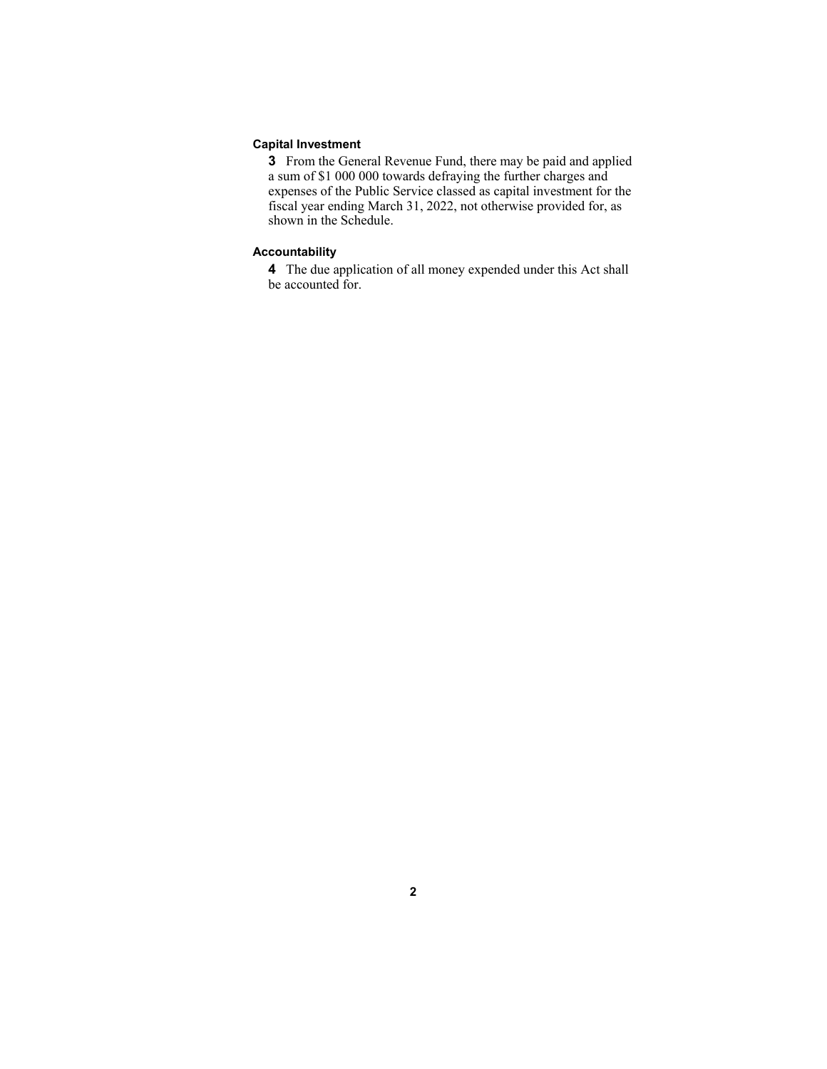#### **Capital Investment**

**3** From the General Revenue Fund, there may be paid and applied a sum of \$1 000 000 towards defraying the further charges and expenses of the Public Service classed as capital investment for the fiscal year ending March 31, 2022, not otherwise provided for, as shown in the Schedule.

### **Accountability**

**4** The due application of all money expended under this Act shall be accounted for.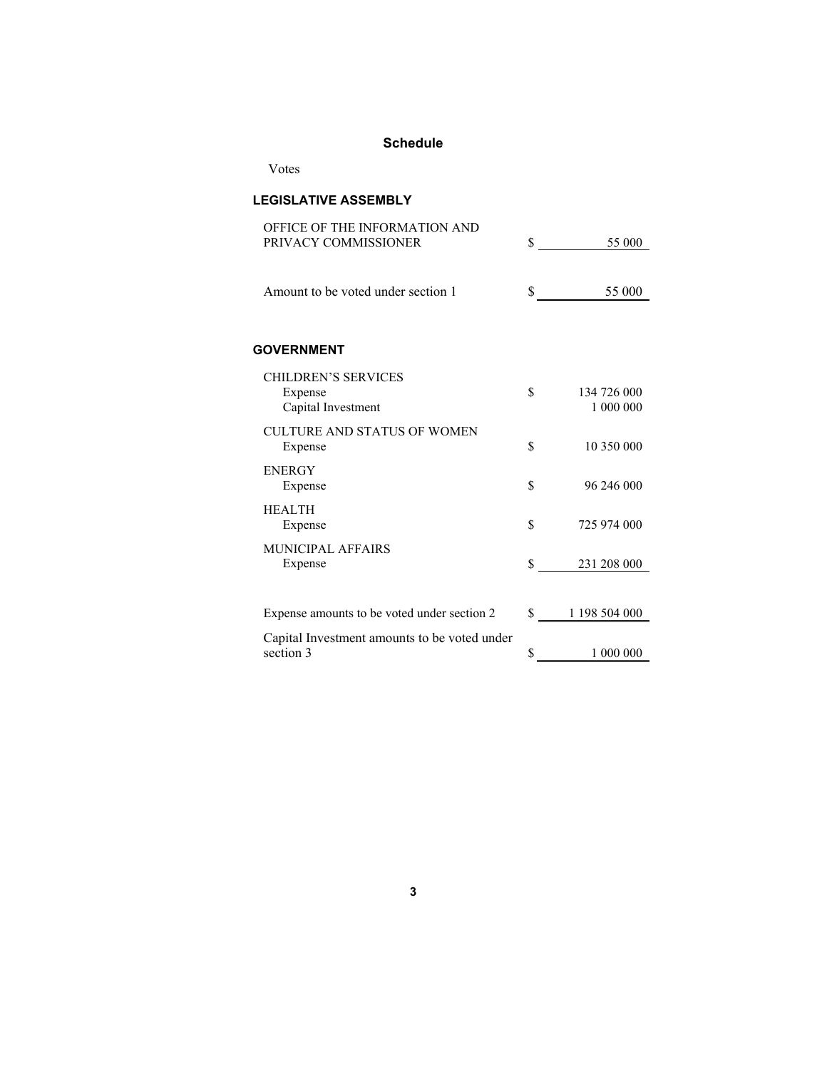## **Schedule**

Votes

## **LEGISLATIVE ASSEMBLY**

| OFFICE OF THE INFORMATION AND<br>PRIVACY COMMISSIONER       | \$<br>55 000                   |
|-------------------------------------------------------------|--------------------------------|
| Amount to be voted under section 1                          | \$<br>55 000                   |
| <b>GOVERNMENT</b>                                           |                                |
| <b>CHILDREN'S SERVICES</b><br>Expense<br>Capital Investment | \$<br>134 726 000<br>1 000 000 |
| <b>CULTURE AND STATUS OF WOMEN</b><br>Expense               | \$<br>10 350 000               |
| <b>ENERGY</b><br>Expense                                    | \$<br>96 246 000               |
| <b>HEALTH</b><br>Expense                                    | \$<br>725 974 000              |
| <b>MUNICIPAL AFFAIRS</b><br>Expense                         | \$<br>231 208 000              |
| Expense amounts to be voted under section 2                 | \$<br>1 198 504 000            |
| Capital Investment amounts to be voted under<br>section 3   | \$<br>1 000 000                |